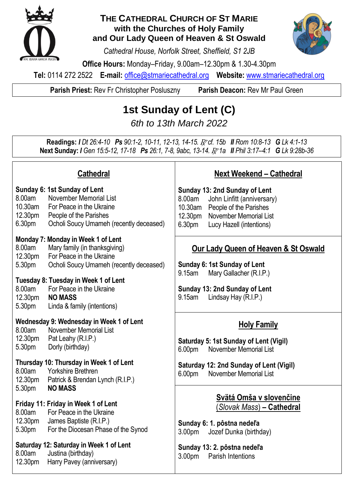

### **THE CATHEDRAL CHURCH OF ST MARIE with the Churches of Holy Family and Our Lady Queen of Heaven & St Oswald**

*Cathedral House, Norfolk Street, Sheffield, S1 2JB*

**Office Hours:** Monday–Friday, 9.00am–12.30pm & 1.30-4.30pm

**Tel:** 0114 272 2522 **E-mail:** [office@stmariecathedral.org](mailto:office@stmariecathedral.org) **Website:** [www.stmariecathedral.org](http://www.stmariecathedral.org/)

**Parish Priest:** Rev Fr Christopher Posluszny **Parish Deacon:** Rev Mr Paul Green

# **1st Sunday of Lent (C)**

*6th to 13th March 2022*

**Readings:** *I Dt 26:4-10 Ps 90:1-2, 10-11, 12-13, 14-15.* R *cf. 15b II Rom 10:8-13 G Lk 4:1-13* **Next Sunday:** *I Gen 15:5-12, 17-18 Ps 26:1, 7-8, 9abc, 13-14.* R *1a II Phil 3:17–4:1 G Lk 9:28b-36*

|                                                            | <b>Cathedral</b>                                                                                                                                                                                                                                                | <b>Next Weekend - Cathedral</b>                                                                                                                                                                          |
|------------------------------------------------------------|-----------------------------------------------------------------------------------------------------------------------------------------------------------------------------------------------------------------------------------------------------------------|----------------------------------------------------------------------------------------------------------------------------------------------------------------------------------------------------------|
| 8.00am<br>10.30am<br>12.30 <sub>pm</sub><br>6.30pm         | Sunday 6: 1st Sunday of Lent<br>November Memorial List<br>For Peace in the Ukraine<br>People of the Parishes<br>Ocholi Soucy Umameh (recently deceased)                                                                                                         | Sunday 13: 2nd Sunday of Lent<br>8.00am<br>John Linfitt (anniversary)<br>10.30am<br>People of the Parishes<br><b>November Memorial List</b><br>12.30pm<br>6.30 <sub>pm</sub><br>Lucy Hazell (intentions) |
| 8.00am<br>12.30pm<br>5.30pm<br>8.00am<br>12.30pm<br>5.30pm | Monday 7: Monday in Week 1 of Lent<br>Mary family (in thanksgiving)<br>For Peace in the Ukraine<br>Ocholi Soucy Umameh (recently deceased)<br>Tuesday 8: Tuesday in Week 1 of Lent<br>For Peace in the Ukraine<br><b>NO MASS</b><br>Linda & family (intentions) | <b>Our Lady Queen of Heaven &amp; St Oswald</b><br>Sunday 6: 1st Sunday of Lent<br>9.15am<br>Mary Gallacher (R.I.P.)<br>Sunday 13: 2nd Sunday of Lent<br>Lindsay Hay (R.I.P.)<br>9.15am                  |
| 8.00am                                                     | Wednesday 9: Wednesday in Week 1 of Lent<br>November Memorial List                                                                                                                                                                                              | <b>Holy Family</b>                                                                                                                                                                                       |
| 12.30pm<br>5.30pm                                          | Pat Leahy (R.I.P.)<br>Dorly (birthday)                                                                                                                                                                                                                          | Saturday 5: 1st Sunday of Lent (Vigil)<br><b>November Memorial List</b><br>6.00pm                                                                                                                        |
| 8.00am<br>12.30pm                                          | Thursday 10: Thursday in Week 1 of Lent<br><b>Yorkshire Brethren</b><br>Patrick & Brendan Lynch (R.I.P.)                                                                                                                                                        | <b>Saturday 12: 2nd Sunday of Lent (Vigil)</b><br>November Memorial List<br>6.00 <sub>pm</sub>                                                                                                           |
| 5.30pm<br>8.00am<br>12.30 <sub>pm</sub><br>5.30pm          | <b>NO MASS</b><br>Friday 11: Friday in Week 1 of Lent<br>For Peace in the Ukraine<br>James Baptiste (R.I.P.)<br>For the Diocesan Phase of the Synod                                                                                                             | Svätá Omša v slovenčine<br>(Slovak Mass) – <b>Cathedral</b><br>Sunday 6: 1. pôstna nedeľa<br>3.00pm<br>Jozef Dunka (birthday)                                                                            |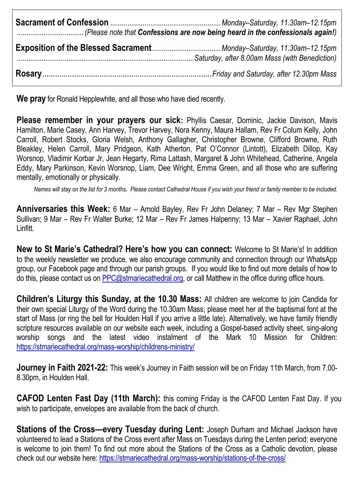**We pray** for Ronald Hepplewhite, and all those who have died recently.

**Please remember in your prayers our sick:** Phyllis Caesar, Dominic, Jackie Davison, Mavis Hamilton, Marie Casey, Ann Harvey, Trevor Harvey, Nora Kenny, Maura Hallam, Rev Fr Colum Kelly, John Carroll, Robert Stocks, Gloria Welsh, Anthony Gallagher, Christopher Browne, Clifford Browne, Ruth Bleakley, Helen Carroll, Mary Pridgeon, Kath Atherton, Pat O'Connor (Lintott), Elizabeth Dillop, Kay Worsnop, Vladimir Korbar Jr, Jean Hegarty, Rima Lattash, Margaret & John Whitehead, Catherine, Angela Eddy, Mary Parkinson, Kevin Worsnop, Liam, Dee Wright, Emma Green, and all those who are suffering mentally, emotionally or physically.

*Names will stay on the list for 3 months. Please contact Cathedral House if you wish your friend or family member to be included.*

**Anniversaries this Week:** 6 Mar – Arnold Bayley, Rev Fr John Delaney; 7 Mar – Rev Mgr Stephen Sullivan; 9 Mar – Rev Fr Walter Burke; 12 Mar – Rev Fr James Halpenny; 13 Mar – Xavier Raphael, John **Linfitt** 

**New to St Marie's Cathedral? Here's how you can connect:** Welcome to St Marie's! In addition to the weekly newsletter we produce, we also encourage community and connection through our WhatsApp group, our Facebook page and through our parish groups. If you would like to find out more details of how to do this, please contact us on [PPC@stmariecathedral.org,](mailto:PPC@stmariecathedral.org) or call Matthew in the office during office hours.

**Children's Liturgy this Sunday, at the 10.30 Mass:** All children are welcome to join Candida for their own special Liturgy of the Word during the 10.30am Mass; please meet her at the baptismal font at the start of Mass (or ring the bell for Houlden Hall if you arrive a little late). Alternatively, we have family friendly scripture resources available on our website each week, including a Gospel-based activity sheet, sing-along worship songs and the latest video instalment of the Mark 10 Mission for Children: <https://stmariecathedral.org/mass-worship/childrens-ministry/>

**Journey in Faith 2021-22:** This week's Journey in Faith session will be on Friday 11th March, from 7.00- 8.30pm, in Houlden Hall.

**CAFOD Lenten Fast Day (11th March):** this coming Friday is the CAFOD Lenten Fast Day. If you wish to participate, envelopes are available from the back of church.

**Stations of the Cross—every Tuesday during Lent: Joseph Durham and Michael Jackson have** volunteered to lead a Stations of the Cross event after Mass on Tuesdays during the Lenten period; everyone is welcome to join them! To find out more about the Stations of the Cross as a Catholic devotion, please check out our website here:<https://stmariecathedral.org/mass-worship/stations-of-the-cross/>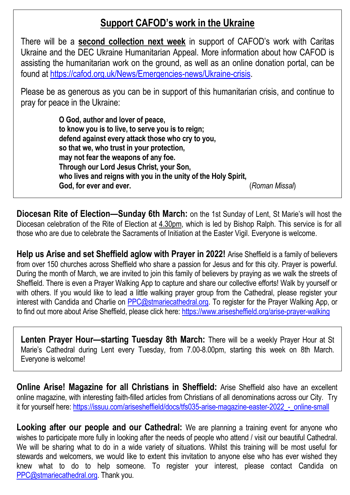## **Support CAFOD's work in the Ukraine**

There will be a **second collection next week** in support of CAFOD's work with Caritas Ukraine and the DEC Ukraine Humanitarian Appeal. More information about how CAFOD is assisting the humanitarian work on the ground, as well as an online donation portal, can be found at [https://cafod.org.uk/News/Emergencies-news/Ukraine-crisis.](https://cafod.org.uk/News/Emergencies-news/Ukraine-crisis)

Please be as generous as you can be in support of this humanitarian crisis, and continue to pray for peace in the Ukraine:

> **O God, author and lover of peace, to know you is to live, to serve you is to reign; defend against every attack those who cry to you, so that we, who trust in your protection, may not fear the weapons of any foe. Through our Lord Jesus Christ, your Son, who lives and reigns with you in the unity of the Holy Spirit, God, for ever and ever.** (*Roman Missal*)

**Diocesan Rite of Election—Sunday 6th March:** on the 1st Sunday of Lent, St Marie's will host the Diocesan celebration of the Rite of Election at 4.30pm, which is led by Bishop Ralph. This service is for all those who are due to celebrate the Sacraments of Initiation at the Easter Vigil. Everyone is welcome.

**Help us Arise and set Sheffield aglow with Prayer in 2022!** Arise Sheffield is a family of believers from over 150 churches across Sheffield who share a passion for Jesus and for this city. Prayer is powerful. During the month of March, we are invited to join this family of believers by praying as we walk the streets of Sheffield. There is even a Prayer Walking App to capture and share our collective efforts! Walk by yourself or with others. If you would like to lead a little walking prayer group from the Cathedral, please register your interest with Candida and Charlie on [PPC@stmariecathedral.org.](mailto:PPC@stmariecathedral.org) To register for the Prayer Walking App, or to find out more about Arise Sheffield, please click here:<https://www.arisesheffield.org/arise-prayer-walking>

**Lenten Prayer Hour—starting Tuesday 8th March:** There will be a weekly Prayer Hour at St Marie's Cathedral during Lent every Tuesday, from 7.00-8.00pm, starting this week on 8th March. Everyone is welcome!

**Online Arise! Magazine for all Christians in Sheffield:** Arise Sheffield also have an excellent online magazine, with interesting faith-filled articles from Christians of all denominations across our City. Try it for yourself here: https://issuu.com/arisesheffield/docs/tfs035-arise-magazine-easter-2022 - online-small

**Looking after our people and our Cathedral:** We are planning a training event for anyone who wishes to participate more fully in looking after the needs of people who attend / visit our beautiful Cathedral. We will be sharing what to do in a wide variety of situations. Whilst this training will be most useful for stewards and welcomers, we would like to extent this invitation to anyone else who has ever wished they knew what to do to help someone. To register your interest, please contact Candida on [PPC@stmariecathedral.org.](mailto:PPC@stmariecathedral.org) Thank you.